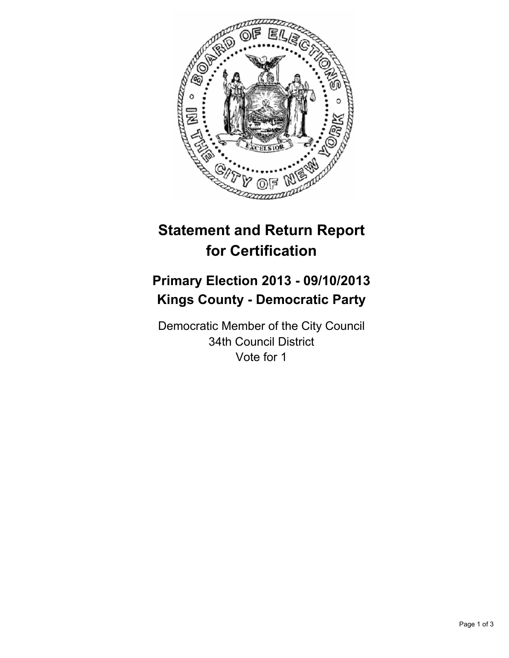

# **Statement and Return Report for Certification**

## **Primary Election 2013 - 09/10/2013 Kings County - Democratic Party**

Democratic Member of the City Council 34th Council District Vote for 1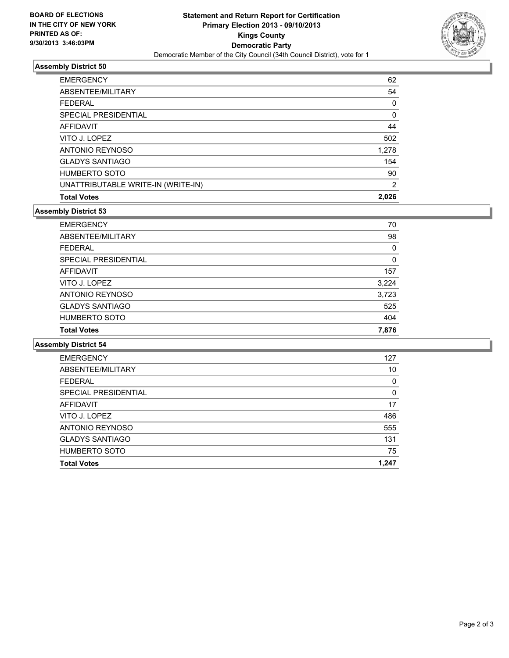

### **Assembly District 50**

| <b>EMERGENCY</b>                   | 62    |
|------------------------------------|-------|
| ABSENTEE/MILITARY                  | 54    |
| <b>FEDERAL</b>                     | 0     |
| SPECIAL PRESIDENTIAL               | 0     |
| <b>AFFIDAVIT</b>                   | 44    |
| VITO J. LOPEZ                      | 502   |
| <b>ANTONIO REYNOSO</b>             | 1,278 |
| <b>GLADYS SANTIAGO</b>             | 154   |
| <b>HUMBERTO SOTO</b>               | 90    |
| UNATTRIBUTABLE WRITE-IN (WRITE-IN) | 2     |
| <b>Total Votes</b>                 | 2.026 |

#### **Assembly District 53**

| <b>EMERGENCY</b>       | 70    |
|------------------------|-------|
| ABSENTEE/MILITARY      | 98    |
| <b>FEDERAL</b>         | 0     |
| SPECIAL PRESIDENTIAL   | 0     |
| <b>AFFIDAVIT</b>       | 157   |
| VITO J. LOPEZ          | 3,224 |
| ANTONIO REYNOSO        | 3,723 |
| <b>GLADYS SANTIAGO</b> | 525   |
| <b>HUMBERTO SOTO</b>   | 404   |
| <b>Total Votes</b>     | 7,876 |

#### **Assembly District 54**

| <b>EMERGENCY</b>       | 127   |
|------------------------|-------|
| ABSENTEE/MILITARY      | 10    |
| <b>FEDERAL</b>         | 0     |
| SPECIAL PRESIDENTIAL   | 0     |
| AFFIDAVIT              | 17    |
| VITO J. LOPEZ          | 486   |
| ANTONIO REYNOSO        | 555   |
| <b>GLADYS SANTIAGO</b> | 131   |
| <b>HUMBERTO SOTO</b>   | 75    |
| <b>Total Votes</b>     | 1,247 |